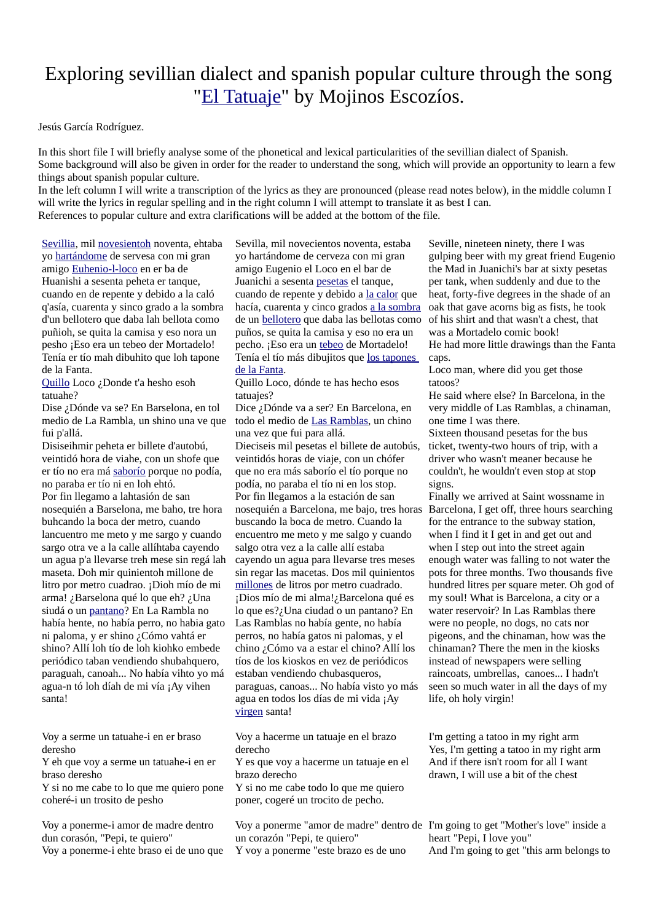## Exploring sevillian dialect and spanish popular culture through the song "[El Tatuaje"](http://ionma.org/share/spanish1/eltatuaje.mp4) by Mojinos Escozíos.

Jesús García Rodríguez.

In this short file I will briefly analyse some of the phonetical and lexical particularities of the sevillian dialect of Spanish. Some background will also be given in order for the reader to understand the song, which will provide an opportunity to learn a few things about spanish popular culture.

In the left column I will write a transcription of the lyrics as they are pronounced (please read notes below), in the middle column I will write the lyrics in regular spelling and in the right column I will attempt to translate it as best I can. References to popular culture and extra clarifications will be added at the bottom of the file.

[Sevillia,](#page-1-1) mil [novesientoh](#page-1-9) noventa, ehtaba yo hartándome de servesa con mi gran amigo [Euhenio-l-loco](#page-1-7) en er ba de Huanishi a sesenta peheta er tanque, cuando en de repente y debido a la caló q'asía, cuarenta y sinco grado a la sombra d'un bellotero que daba lah bellota como puñioh, se quita la camisa y eso nora un pesho ¡Eso era un tebeo der Mortadelo! Tenía er tío mah dibuhito que loh tapone de la Fanta.

[Quillo](#page-1-6) Loco ¿Donde t'a hesho esoh tatuahe?

Dise ¿Dónde va se? En Barselona, en tol medio de La Rambla, un shino una ve que fui p'allá.

Disiseihmir peheta er billete d'autobú, veintidó hora de viahe, con un shofe que er tío no era má [saborío](#page-1-5) porque no podía, no paraba er tío ni en loh ehtó. Por fin llegamo a lahtasión de san nosequién a Barselona, me baho, tre hora buhcando la boca der metro, cuando lancuentro me meto y me sargo y cuando sargo otra ve a la calle allíhtaba cayendo un agua p'a llevarse treh mese sin regá lah maseta. Doh mir quinientoh millone de litro por metro cuadrao. ¡Dioh mío de mi arma! ¿Barselona qué lo que eh? ¿Una siudá o un [pantano](#page-1-4)? En La Rambla no había hente, no había perro, no habia gato ni paloma, y er shino ¿Cómo vahtá er shino? Allí loh tío de loh kiohko embede periódico taban vendiendo shubahquero, paraguah, canoah... No había vihto yo má agua-n tó loh díah de mi vía ¡Ay vihen santa!

Voy a serme un tatuahe-i en er braso deresho

Y eh que voy a serme un tatuahe-i en er braso deresho

Y si no me cabe to lo que me quiero pone coheré-i un trosito de pesho

Voy a ponerme-i amor de madre dentro dun corasón, "Pepi, te quiero"

Voy a ponerme-i ehte braso ei de uno que

Sevilla, mil novecientos noventa, estaba yo hartándome de cerveza con mi gran amigo Eugenio el Loco en el bar de Juanichi a sesenta [pesetas](#page-1-0) el tanque, cuando de repente y debido a [la calor](#page-1-3) que hacía, cuarenta y cinco grados [a la sombra](#page-2-4) de un [bellotero](#page-1-2) que daba las bellotas como puños, se quita la camisa y eso no era un pecho. ¡Eso era un [tebeo](#page-2-3) de Mortadelo! Tenía el tío más dibujitos que [los tapones](#page-2-0)  [de la Fanta.](#page-2-0)

Quillo Loco, dónde te has hecho esos tatuajes?

Dice ¿Dónde va a ser? En Barcelona, en todo el medio de [Las Ramblas](#page-2-2), un chino una vez que fui para allá.

Dieciseis mil pesetas el billete de autobús, veintidós horas de viaje, con un chófer que no era más saborío el tío porque no podía, no paraba el tío ni en los stop. Por fin llegamos a la estación de san nosequién a Barcelona, me bajo, tres horas Barcelona, I get off, three hours searching buscando la boca de metro. Cuando la encuentro me meto y me salgo y cuando salgo otra vez a la calle allí estaba cayendo un agua para llevarse tres meses sin regar las macetas. Dos mil quinientos [millones](#page-2-1) de litros por metro cuadrado. ¡Dios mío de mi alma!¿Barcelona qué es lo que es?¿Una ciudad o un pantano? En Las Ramblas no había gente, no había perros, no había gatos ni palomas, y el chino ¿Cómo va a estar el chino? Allí los tíos de los kioskos en vez de periódicos estaban vendiendo chubasqueros, paraguas, canoas... No había visto yo más agua en todos los días de mi vida ¡Ay [virgen](#page-3-0) santa!

Voy a hacerme un tatuaje en el brazo derecho

Y es que voy a hacerme un tatuaje en el brazo derecho

Y si no me cabe todo lo que me quiero poner, cogeré un trocito de pecho.

Voy a ponerme "amor de madre" dentro de I'm going to get "Mother's love" inside a un corazón "Pepi, te quiero" Y voy a ponerme "este brazo es de uno

Seville, nineteen ninety, there I was gulping beer with my great friend Eugenio the Mad in Juanichi's bar at sixty pesetas per tank, when suddenly and due to the heat, forty-five degrees in the shade of an oak that gave acorns big as fists, he took of his shirt and that wasn't a chest, that was a Mortadelo comic book! He had more little drawings than the Fanta caps.

Loco man, where did you get those tatoos?

He said where else? In Barcelona, in the very middle of Las Ramblas, a chinaman, one time I was there.

Sixteen thousand pesetas for the bus ticket, twenty-two hours of trip, with a driver who wasn't meaner because he couldn't, he wouldn't even stop at stop signs.

Finally we arrived at Saint wossname in for the entrance to the subway station, when I find it I get in and get out and when I step out into the street again enough water was falling to not water the pots for three months. Two thousands five hundred litres per square meter. Oh god of my soul! What is Barcelona, a city or a water reservoir? In Las Ramblas there were no people, no dogs, no cats nor pigeons, and the chinaman, how was the chinaman? There the men in the kiosks instead of newspapers were selling raincoats, umbrellas, canoes... I hadn't seen so much water in all the days of my life, oh holy virgin!

I'm getting a tatoo in my right arm Yes, I'm getting a tatoo in my right arm And if there isn't room for all I want drawn, I will use a bit of the chest

heart "Pepi, I love you" And I'm going to get "this arm belongs to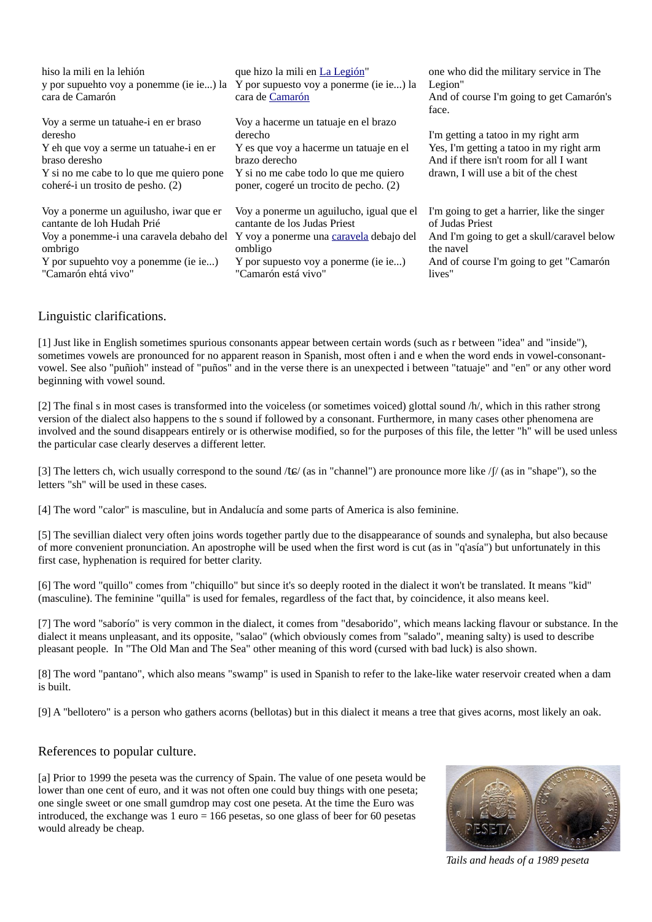| hiso la mili en la lehión<br>y por supuehto voy a ponemme (ie ie) la Y por supuesto voy a ponerme (ie ie) la<br>cara de Camarón                                                                                                    | que hizo la mili en La Legión"<br>cara de Camarón                                                                                                                                              | one who did the military service in The<br>Legion"<br>And of course I'm going to get Camarón's<br>face.                                                                         |
|------------------------------------------------------------------------------------------------------------------------------------------------------------------------------------------------------------------------------------|------------------------------------------------------------------------------------------------------------------------------------------------------------------------------------------------|---------------------------------------------------------------------------------------------------------------------------------------------------------------------------------|
| Voy a serme un tatuahe-i en er braso<br>deresho<br>Y eh que voy a serme un tatuahe-i en er<br>braso deresho<br>Y si no me cabe to lo que me quiero pone<br>coheré-i un trosito de pesho. (2)                                       | Voy a hacerme un tatuaje en el brazo<br>derecho<br>Y es que voy a hacerme un tatuaje en el<br>brazo derecho<br>Y si no me cabe todo lo que me quiero<br>poner, cogeré un trocito de pecho. (2) | I'm getting a tatoo in my right arm<br>Yes, I'm getting a tatoo in my right arm<br>And if there isn't room for all I want<br>drawn, I will use a bit of the chest               |
| Voy a ponerme un aguilusho, iwar que er<br>cantante de loh Hudah Prié<br>Voy a ponemme-i una caravela debaho del Y voy a ponerme una caravela debajo del<br>ombrigo<br>Y por supuehto voy a ponemme (ie ie)<br>"Camarón ehtá vivo" | Voy a ponerme un aguilucho, igual que el<br>cantante de los Judas Priest<br>ombligo<br>Y por supuesto voy a ponerme (ie ie)<br>"Camarón está vivo"                                             | I'm going to get a harrier, like the singer<br>of Judas Priest<br>And I'm going to get a skull/caravel below<br>the navel<br>And of course I'm going to get "Camarón"<br>lives" |

## Linguistic clarifications.

<span id="page-1-1"></span>[1] Just like in English sometimes spurious consonants appear between certain words (such as r between "idea" and "inside"), sometimes vowels are pronounced for no apparent reason in Spanish, most often i and e when the word ends in vowel-consonantvowel. See also "puñioh" instead of "puños" and in the verse there is an unexpected i between "tatuaje" and "en" or any other word beginning with vowel sound.

<span id="page-1-9"></span>[2] The final s in most cases is transformed into the voiceless (or sometimes voiced) glottal sound /h/, which in this rather strong version of the dialect also happens to the s sound if followed by a consonant. Furthermore, in many cases other phenomena are involved and the sound disappears entirely or is otherwise modified, so for the purposes of this file, the letter "h" will be used unless the particular case clearly deserves a different letter.

<span id="page-1-8"></span>[3] The letters ch, wich usually correspond to the sound /tɕ/ (as in "channel") are pronounce more like /ʃ/ (as in "shape"), so the letters "sh" will be used in these cases.

<span id="page-1-3"></span>[4] The word "calor" is masculine, but in Andalucía and some parts of America is also feminine.

<span id="page-1-7"></span>[5] The sevillian dialect very often joins words together partly due to the disappearance of sounds and synalepha, but also because of more convenient pronunciation. An apostrophe will be used when the first word is cut (as in "q'asía") but unfortunately in this first case, hyphenation is required for better clarity.

<span id="page-1-6"></span>[6] The word "quillo" comes from "chiquillo" but since it's so deeply rooted in the dialect it won't be translated. It means "kid" (masculine). The feminine "quilla" is used for females, regardless of the fact that, by coincidence, it also means keel.

<span id="page-1-5"></span>[7] The word "saborío" is very common in the dialect, it comes from "desaborido", which means lacking flavour or substance. In the dialect it means unpleasant, and its opposite, "salao" (which obviously comes from "salado", meaning salty) is used to describe pleasant people. In "The Old Man and The Sea" other meaning of this word (cursed with bad luck) is also shown.

<span id="page-1-4"></span>[8] The word "pantano", which also means "swamp" is used in Spanish to refer to the lake-like water reservoir created when a dam is built.

<span id="page-1-2"></span>[9] A "bellotero" is a person who gathers acorns (bellotas) but in this dialect it means a tree that gives acorns, most likely an oak.

## References to popular culture.

<span id="page-1-0"></span>[a] Prior to 1999 the peseta was the currency of Spain. The value of one peseta would be lower than one cent of euro, and it was not often one could buy things with one peseta; one single sweet or one small gumdrop may cost one peseta. At the time the Euro was introduced, the exchange was 1 euro = 166 pesetas, so one glass of beer for 60 pesetas would already be cheap.



*Tails and heads of a 1989 peseta*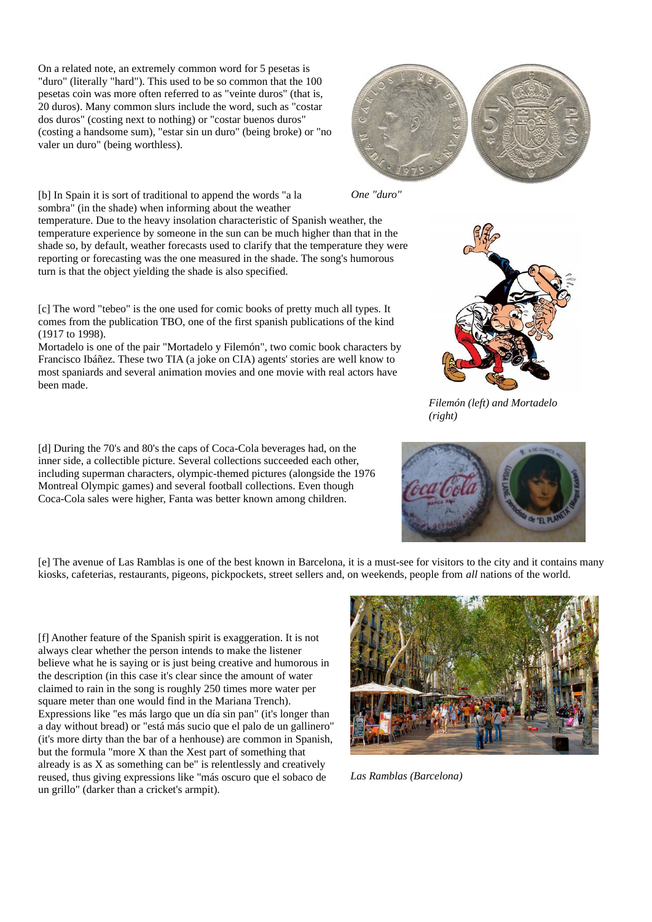On a related note, an extremely common word for 5 pesetas is "duro" (literally "hard"). This used to be so common that the 100 pesetas coin was more often referred to as "veinte duros" (that is, 20 duros). Many common slurs include the word, such as "costar dos duros" (costing next to nothing) or "costar buenos duros" (costing a handsome sum), "estar sin un duro" (being broke) or "no valer un duro" (being worthless).

<span id="page-2-4"></span>[b] In Spain it is sort of traditional to append the words "a la



*One "duro"*

sombra" (in the shade) when informing about the weather temperature. Due to the heavy insolation characteristic of Spanish weather, the temperature experience by someone in the sun can be much higher than that in the shade so, by default, weather forecasts used to clarify that the temperature they were reporting or forecasting was the one measured in the shade. The song's humorous turn is that the object yielding the shade is also specified.

<span id="page-2-3"></span>[c] The word "tebeo" is the one used for comic books of pretty much all types. It comes from the publication TBO, one of the first spanish publications of the kind (1917 to 1998).

Mortadelo is one of the pair "Mortadelo y Filemón", two comic book characters by Francisco Ibáñez. These two TIA (a joke on CIA) agents' stories are well know to most spaniards and several animation movies and one movie with real actors have been made.

<span id="page-2-0"></span>[d] During the 70's and 80's the caps of Coca-Cola beverages had, on the inner side, a collectible picture. Several collections succeeded each other, including superman characters, olympic-themed pictures (alongside the 1976 Montreal Olympic games) and several football collections. Even though Coca-Cola sales were higher, Fanta was better known among children.



*Filemón (left) and Mortadelo (right)*



<span id="page-2-2"></span>[e] The avenue of Las Ramblas is one of the best known in Barcelona, it is a must-see for visitors to the city and it contains many kiosks, cafeterias, restaurants, pigeons, pickpockets, street sellers and, on weekends, people from *all* nations of the world.

<span id="page-2-1"></span>[f] Another feature of the Spanish spirit is exaggeration. It is not always clear whether the person intends to make the listener believe what he is saying or is just being creative and humorous in the description (in this case it's clear since the amount of water claimed to rain in the song is roughly 250 times more water per square meter than one would find in the Mariana Trench). Expressions like "es más largo que un día sin pan" (it's longer than a day without bread) or "está más sucio que el palo de un gallinero" (it's more dirty than the bar of a henhouse) are common in Spanish, but the formula "more X than the Xest part of something that already is as X as something can be" is relentlessly and creatively reused, thus giving expressions like "más oscuro que el sobaco de un grillo" (darker than a cricket's armpit).



*Las Ramblas (Barcelona)*